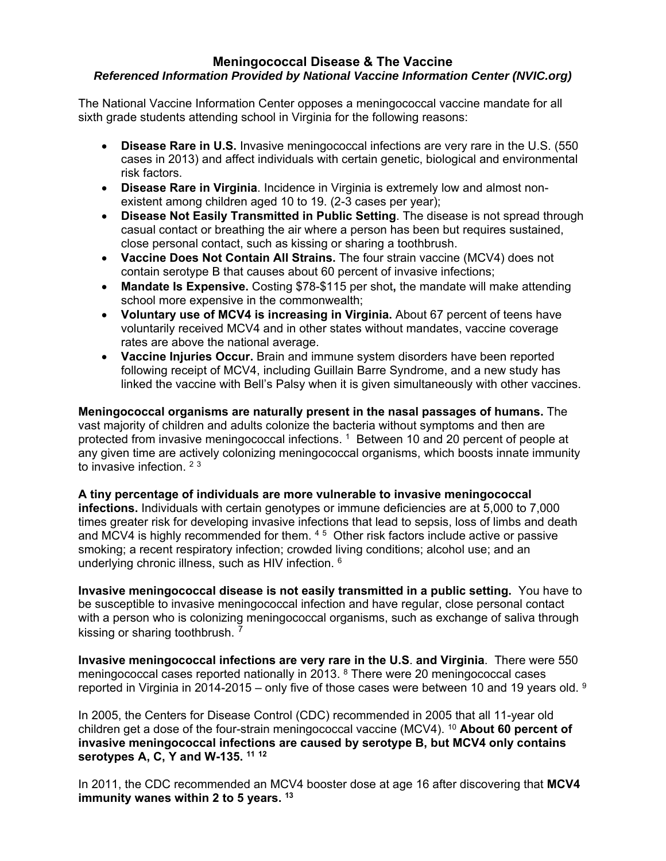## **Meningococcal Disease & The Vaccine**  *Referenced Information Provided by National Vaccine Information Center (NVIC.org)*

The National Vaccine Information Center opposes a meningococcal vaccine mandate for all sixth grade students attending school in Virginia for the following reasons:

- **Disease Rare in U.S.** Invasive meningococcal infections are very rare in the U.S. (550 cases in 2013) and affect individuals with certain genetic, biological and environmental risk factors.
- **Disease Rare in Virginia**. Incidence in Virginia is extremely low and almost nonexistent among children aged 10 to 19. (2-3 cases per year);
- **Disease Not Easily Transmitted in Public Setting**. The disease is not spread through casual contact or breathing the air where a person has been but requires sustained, close personal contact, such as kissing or sharing a toothbrush.
- **Vaccine Does Not Contain All Strains.** The four strain vaccine (MCV4) does not contain serotype B that causes about 60 percent of invasive infections;
- **Mandate Is Expensive.** Costing \$78-\$115 per shot**,** the mandate will make attending school more expensive in the commonwealth;
- **Voluntary use of MCV4 is increasing in Virginia.** About 67 percent of teens have voluntarily received MCV4 and in other states without mandates, vaccine coverage rates are above the national average.
- **Vaccine Injuries Occur.** Brain and immune system disorders have been reported following receipt of MCV4, including Guillain Barre Syndrome, and a new study has linked the vaccine with Bell's Palsy when it is given simultaneously with other vaccines.

**Meningococcal organisms are naturally present in the nasal passages of humans.** The vast majority of children and adults colonize the bacteria without symptoms and then are protected from invasive meningococcal infections.<sup>1</sup> Between 10 and 20 percent of people at any given time are actively colonizing meningococcal organisms, which boosts innate immunity to invasive infection. <sup>23</sup>

**A tiny percentage of individuals are more vulnerable to invasive meningococcal infections.** Individuals with certain genotypes or immune deficiencies are at 5,000 to 7,000 times greater risk for developing invasive infections that lead to sepsis, loss of limbs and death and MCV4 is highly recommended for them. 4 5 Other risk factors include active or passive smoking; a recent respiratory infection; crowded living conditions; alcohol use; and an underlying chronic illness, such as HIV infection. 6

**Invasive meningococcal disease is not easily transmitted in a public setting.** You have to be susceptible to invasive meningococcal infection and have regular, close personal contact with a person who is colonizing meningococcal organisms, such as exchange of saliva through kissing or sharing toothbrush. 7

**Invasive meningococcal infections are very rare in the U.S**. **and Virginia**. There were 550 meningococcal cases reported nationally in 2013. 8 There were 20 meningococcal cases reported in Virginia in 2014-2015 – only five of those cases were between 10 and 19 vears old. <sup>9</sup>

In 2005, the Centers for Disease Control (CDC) recommended in 2005 that all 11-year old children get a dose of the four-strain meningococcal vaccine (MCV4). 10 **About 60 percent of invasive meningococcal infections are caused by serotype B, but MCV4 only contains serotypes A, C, Y and W-135. 11 <sup>12</sup>**

In 2011, the CDC recommended an MCV4 booster dose at age 16 after discovering that **MCV4 immunity wanes within 2 to 5 years. 13**